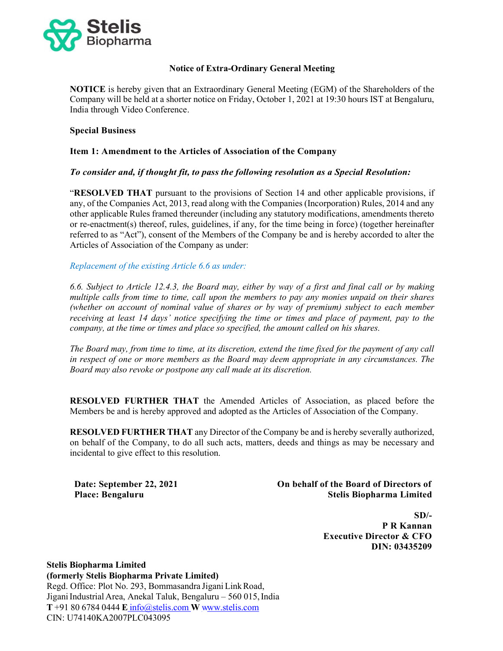

# Notice of Extra-Ordinary General Meeting

NOTICE is hereby given that an Extraordinary General Meeting (EGM) of the Shareholders of the Company will be held at a shorter notice on Friday, October 1, 2021 at 19:30 hours IST at Bengaluru, India through Video Conference.

## Special Business

## Item 1: Amendment to the Articles of Association of the Company

## To consider and, if thought fit, to pass the following resolution as a Special Resolution:

"RESOLVED THAT pursuant to the provisions of Section 14 and other applicable provisions, if any, of the Companies Act, 2013, read along with the Companies (Incorporation) Rules, 2014 and any other applicable Rules framed thereunder (including any statutory modifications, amendments thereto or re-enactment(s) thereof, rules, guidelines, if any, for the time being in force) (together hereinafter referred to as "Act"), consent of the Members of the Company be and is hereby accorded to alter the Articles of Association of the Company as under:

#### Replacement of the existing Article 6.6 as under:

6.6. Subject to Article 12.4.3, the Board may, either by way of a first and final call or by making multiple calls from time to time, call upon the members to pay any monies unpaid on their shares (whether on account of nominal value of shares or by way of premium) subject to each member receiving at least 14 days' notice specifying the time or times and place of payment, pay to the company, at the time or times and place so specified, the amount called on his shares.

The Board may, from time to time, at its discretion, extend the time fixed for the payment of any call in respect of one or more members as the Board may deem appropriate in any circumstances. The Board may also revoke or postpone any call made at its discretion.

RESOLVED FURTHER THAT the Amended Articles of Association, as placed before the Members be and is hereby approved and adopted as the Articles of Association of the Company.

RESOLVED FURTHER THAT any Director of the Company be and is hereby severally authorized, on behalf of the Company, to do all such acts, matters, deeds and things as may be necessary and incidental to give effect to this resolution.

Date: September 22, 2021 Place: Bengaluru

 On behalf of the Board of Directors of Stelis Biopharma Limited

> $SD/-$ P R Kannan Executive Director & CFO DIN: 03435209

Stelis Biopharma Limited (formerly Stelis Biopharma Private Limited) Regd. Office: Plot No. 293, Bommasandra Jigani Link Road, Jigani Industrial Area, Anekal Taluk, Bengaluru – 560 015, India  $T + 918067840444$  E info@stelis.com W www.stelis.com CIN: U74140KA2007PLC043095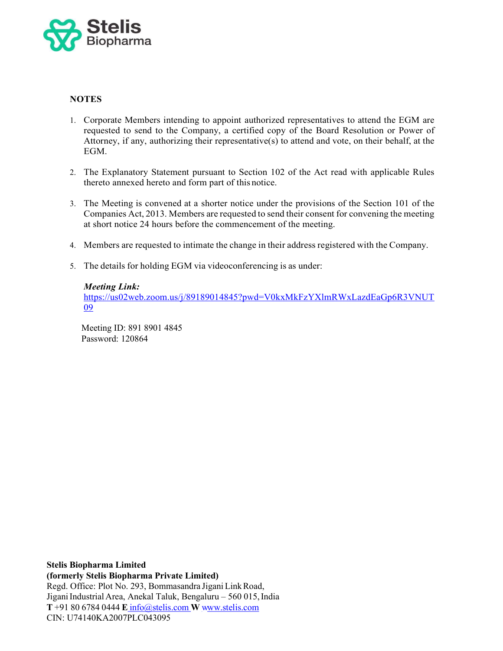

# **NOTES**

- 1. Corporate Members intending to appoint authorized representatives to attend the EGM are requested to send to the Company, a certified copy of the Board Resolution or Power of Attorney, if any, authorizing their representative(s) to attend and vote, on their behalf, at the EGM.
- 2. The Explanatory Statement pursuant to Section 102 of the Act read with applicable Rules thereto annexed hereto and form part of this notice.
- 3. The Meeting is convened at a shorter notice under the provisions of the Section 101 of the Companies Act, 2013. Members are requested to send their consent for convening the meeting at short notice 24 hours before the commencement of the meeting.
- 4. Members are requested to intimate the change in their address registered with the Company.
- 5. The details for holding EGM via videoconferencing is as under:

#### Meeting Link:

https://us02web.zoom.us/j/89189014845?pwd=V0kxMkFzYXlmRWxLazdEaGp6R3VNUT <u>09</u>

Meeting ID: 891 8901 4845 Password: 120864

Stelis Biopharma Limited (formerly Stelis Biopharma Private Limited) Regd. Office: Plot No. 293, Bommasandra Jigani Link Road, Jigani Industrial Area, Anekal Taluk, Bengaluru – 560 015, India  $T + 918067840444$  E info@stelis.com W www.stelis.com CIN: U74140KA2007PLC043095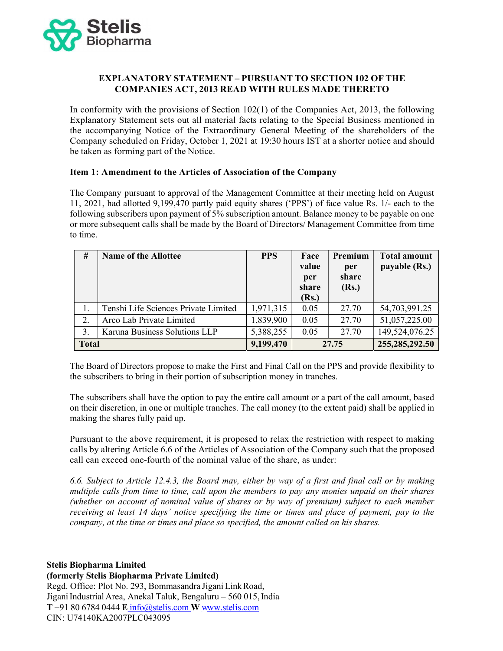

# EXPLANATORY STATEMENT – PURSUANT TO SECTION 102 OF THE COMPANIES ACT, 2013 READ WITH RULES MADE THERETO

In conformity with the provisions of Section 102(1) of the Companies Act, 2013, the following Explanatory Statement sets out all material facts relating to the Special Business mentioned in the accompanying Notice of the Extraordinary General Meeting of the shareholders of the Company scheduled on Friday, October 1, 2021 at 19:30 hours IST at a shorter notice and should be taken as forming part of the Notice.

## Item 1: Amendment to the Articles of Association of the Company

The Company pursuant to approval of the Management Committee at their meeting held on August 11, 2021, had allotted 9,199,470 partly paid equity shares ('PPS') of face value Rs. 1/- each to the following subscribers upon payment of 5% subscription amount. Balance money to be payable on one or more subsequent calls shall be made by the Board of Directors/ Management Committee from time to time.

| #            | <b>Name of the Allottee</b>          | <b>PPS</b> | Face<br>value<br>per<br>share<br>(Rs.) | Premium<br>per<br>share<br>(Rs.) | <b>Total amount</b><br>payable (Rs.) |
|--------------|--------------------------------------|------------|----------------------------------------|----------------------------------|--------------------------------------|
| 1.           | Tenshi Life Sciences Private Limited | 1,971,315  | 0.05                                   | 27.70                            | 54,703,991.25                        |
| 2.           | Arco Lab Private Limited             | 1,839,900  | 0.05                                   | 27.70                            | 51,057,225.00                        |
| 3.           | Karuna Business Solutions LLP        | 5,388,255  | 0.05                                   | 27.70                            | 149,524,076.25                       |
| <b>Total</b> |                                      | 9,199,470  | 27.75                                  |                                  | 255,285,292.50                       |

The Board of Directors propose to make the First and Final Call on the PPS and provide flexibility to the subscribers to bring in their portion of subscription money in tranches.

The subscribers shall have the option to pay the entire call amount or a part of the call amount, based on their discretion, in one or multiple tranches. The call money (to the extent paid) shall be applied in making the shares fully paid up.

Pursuant to the above requirement, it is proposed to relax the restriction with respect to making calls by altering Article 6.6 of the Articles of Association of the Company such that the proposed call can exceed one-fourth of the nominal value of the share, as under:

6.6. Subject to Article 12.4.3, the Board may, either by way of a first and final call or by making multiple calls from time to time, call upon the members to pay any monies unpaid on their shares (whether on account of nominal value of shares or by way of premium) subject to each member receiving at least 14 days' notice specifying the time or times and place of payment, pay to the company, at the time or times and place so specified, the amount called on his shares.

Stelis Biopharma Limited

(formerly Stelis Biopharma Private Limited)

Regd. Office: Plot No. 293, Bommasandra Jigani Link Road, Jigani Industrial Area, Anekal Taluk, Bengaluru – 560 015, India  $T + 918067840444$  E info@stelis.com W www.stelis.com CIN: U74140KA2007PLC043095